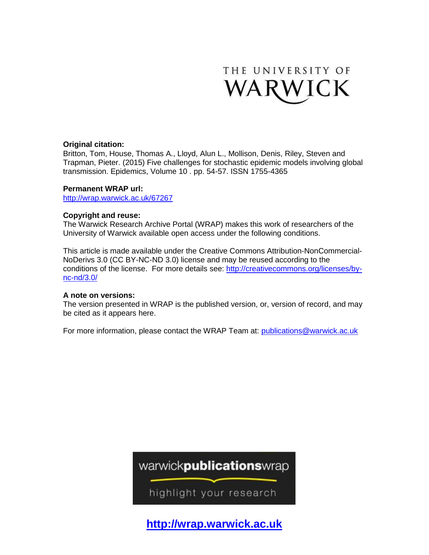

## **Original citation:**

Britton, Tom, House, Thomas A., Lloyd, Alun L., Mollison, Denis, Riley, Steven and Trapman, Pieter. (2015) Five challenges for stochastic epidemic models involving global transmission. Epidemics, Volume 10 . pp. 54-57. ISSN 1755-4365

## **Permanent WRAP url:**

<http://wrap.warwick.ac.uk/67267>

## **Copyright and reuse:**

The Warwick Research Archive Portal (WRAP) makes this work of researchers of the University of Warwick available open access under the following conditions.

This article is made available under the Creative Commons Attribution-NonCommercial-NoDerivs 3.0 (CC BY-NC-ND 3.0) license and may be reused according to the conditions of the license. For more details see: [http://creativecommons.org/licenses/by](http://creativecommons.org/licenses/by-nc-nd/3.0/)[nc-nd/3.0/](http://creativecommons.org/licenses/by-nc-nd/3.0/) 

## **A note on versions:**

The version presented in WRAP is the published version, or, version of record, and may be cited as it appears here.

For more information, please contact the WRAP Team at: [publications@warwick.ac.uk](mailto:publications@warwick.ac.uk)



highlight your research

**[http://wrap.warwick.ac.uk](http://wrap.warwick.ac.uk/)**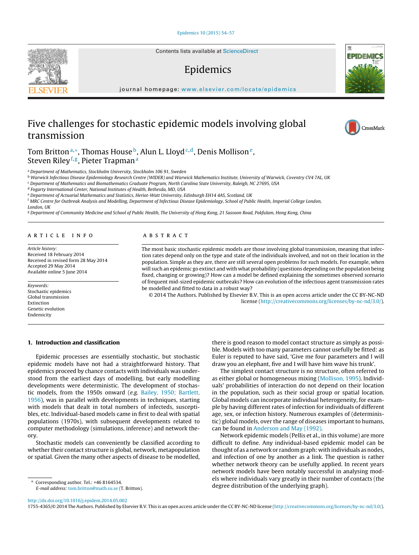Contents lists available at ScienceDirect

# Epidemics

journal homepage: [www.elsevier.com/locate/epidemics](http://www.elsevier.com/locate/epidemics)

## Five challenges for stochastic epidemic models involving global transmission

Tom Britton<sup>a,∗</sup>, Thomas House<sup>b</sup>, Alun L. Lloyd<sup>c,d</sup>, Denis Mollison<sup>e</sup>, Steven Riley<sup>f,g</sup>, Pieter Trapman<sup>a</sup>

<sup>a</sup> Department of Mathematics, Stockholm University, Stockholm 106 91, Sweden

<sup>b</sup> Warwick Infectious Disease Epidemiology Research Centre (WIDER) and Warwick Mathematics Institute, University of Warwick, Coventry CV4 7AL, UK

<sup>c</sup> Department of Mathematics and Biomathematics Graduate Program, North Carolina State University, Raleigh, NC 27695, USA

<sup>d</sup> Fogarty International Center, National Institutes of Health, Bethesda, MD, USA

<sup>e</sup> Department of Actuarial Mathematics and Statistics, Heriot-Watt University, Edinburgh EH14 4AS, Scotland, UK

<sup>f</sup> MRC Centre for Outbreak Analysis and Modelling, Department of Infectious Disease Epidemiology, School of Public Health, Imperial College London, London, UK

<sup>g</sup> Department of Community Medicine and School of Public Health, The University of Hong Kong, 21 Sassoon Road, Pokfulam, Hong Kong, China

#### a r t i c l e i n f o

Article history: Received 18 February 2014 Received in revised form 28 May 2014 Accepted 29 May 2014 Available online 5 June 2014

Keywords: Stochastic epidemics Global transmission Extinction Genetic evolution Endemicity

### A B S T R A C T

The most basic stochastic epidemic models are those involving global transmission, meaning that infection rates depend only on the type and state of the individuals involved, and not on their location in the population. Simple as they are, there are still several open problems for such models. For example, when will such an epidemic go extinct and with what probability (questions depending on the population being fixed, changing or growing)? How can a model be defined explaining the sometimes observed scenario of frequent mid-sized epidemic outbreaks? How can evolution of the infectious agent transmission rates be modelled and fitted to data in a robust way?

© 2014 The Authors. Published by Elsevier B.V. This is an open access article under the CC BY-NC-ND license [\(http://creativecommons.org/licenses/by-nc-nd/3.0/](http://creativecommons.org/licenses/by-nc-nd/3.0/)).

#### **1. Introduction and classification**

Epidemic processes are essentially stochastic, but stochastic epidemic models have not had a straightforward history. That epidemics proceed by chance contacts with individuals was understood from the earliest days of modelling, but early modelling developments were deterministic. The development of stochastic models, from the 1950s onward (e.g. [Bailey,](#page-4-0) [1950;](#page-4-0) [Bartlett,](#page-4-0) [1956\),](#page-4-0) was in parallel with developments in techniques, starting with models that dealt in total numbers of infecteds, susceptibles, etc. Individual-based models came in first to deal with spatial populations (1970s), with subsequent developments related to computer methodology (simulations, inference) and network theory.

Stochastic models can conveniently be classified according to whether their contact structure is global, network, metapopulation or spatial. Given the many other aspects of disease to be modelled,

as either global or homogeneous mixing [\(Mollison,](#page-4-0) [1995\).](#page-4-0) Individuals' probabilities of interaction do not depend on their location in the population, such as their social group or spatial location. Global models can incorporate individual heterogeneity, for exam-

> ple by having different rates of infection for individuals of different age, sex, or infection history. Numerous examples of (deterministic) global models, over the range of diseases important to humans, can be found in [Anderson](#page-4-0) [and](#page-4-0) [May](#page-4-0) [\(1992\).](#page-4-0)

> there is good reason to model contact structure as simply as possible. Models with too many parameters cannot usefully be fitted: as Euler is reputed to have said, 'Give me four parameters and I will draw you an elephant, five and I will have him wave his trunk'. The simplest contact structure is no structure, often referred to

> Network epidemic models (Pellis et al., in this volume) are more difficult to define. Any individual-based epidemic model can be thought of as a network or random graph: with individuals as nodes, and infection of one by another as a link. The question is rather whether network theory can be usefully applied. In recent years network models have been notably successful in analysing models where individuals vary greatly in their number of contacts (the degree distribution of the underlying graph).

[http://dx.doi.org/10.1016/j.epidem.2014.05.002](dx.doi.org/10.1016/j.epidem.2014.05.002)

1755-4365/© 2014 The Authors. Published by Elsevier B.V. This is an open access article under the CC BY-NC-ND license [\(http://creativecommons.org/licenses/by-nc-nd/3.0/\)](http://creativecommons.org/licenses/by-nc-nd/3.0/).





CrossMark

<sup>∗</sup> Corresponding author. Tel.: +46 8164534. E-mail address: [tom.britton@math.su.se](mailto:tom.britton@math.su.se) (T. Britton).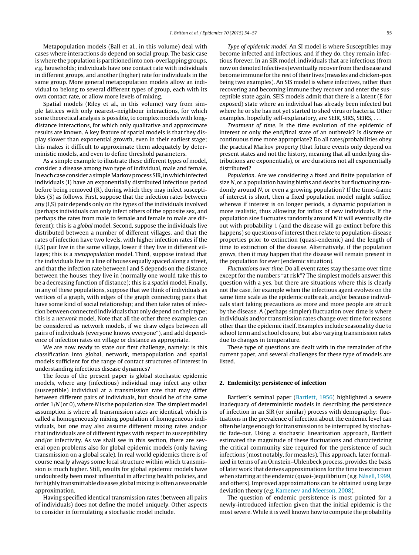Metapopulation models (Ball et al., in this volume) deal with cases where interactions do depend on social group. The basic case is where the population is partitioned into non-overlapping groups, e.g. households; individuals have one contact rate with individuals in different groups, and another (higher) rate for individuals in the same group. More general metapopulation models allow an individual to belong to several different types of group, each with its own contact rate, or allow more levels of mixing.

Spatial models (Riley et al., in this volume) vary from simple lattices with only nearest–neighbour interactions, for which some theoretical analysis is possible, to complex models with longdistance interactions, for which only qualitative and approximate results are known. A key feature of spatial models is that they display slower than exponential growth, even in their earliest stage; this makes it difficult to approximate them adequately by deterministic models, and even to define threshold parameters.

As a simple example to illustrate these different types of model, consider a disease among two type of individual, male and female. In each case consider a simple Markov process SIR, in which infected individuals (I) have an exponentially distributed infectious period before being removed (R), during which they may infect susceptibles (S) as follows. First, suppose that the infection rates between any (I,S) pair depends only on the types of the individuals involved (perhaps individuals can only infect others of the opposite sex, and perhaps the rates from male to female and female to male are different); this is a global model. Second, suppose the individuals live distributed between a number of different villages, and that the rates of infection have two levels, with higher infection rates if the (I,S) pair live in the same village, lower if they live in different villages; this is a metapopulation model. Third, suppose instead that the individuals live in a line of houses equally spaced along a street, and that the infection rate between I and S depends on the distance between the houses they live in (normally one would take this to be a decreasing function of distance); this is a spatial model. Finally, in any of these populations, suppose that we think of individuals as vertices of a graph, with edges of the graph connecting pairs that have some kind of social relationship; and then take rates of infection between connected individuals that only depend on their type; this is a network model. Note that all the other three examples can be considered as network models, if we draw edges between all pairs of individuals (everyone knows everyone"), and add dependence of infection rates on village or distance as appropriate.

We are now ready to state our first challenge, namely: is this classification into global, network, metapopulation and spatial models sufficient for the range of contact structures of interest in understanding infectious disease dynamics?

The focus of the present paper is global stochastic epidemic models, where any (infectious) individual may infect any other (susceptible) individual at a transmission rate that may differ between different pairs of individuals, but should be of the same order 1/N (or 0), where N is the population size. The simplest model assumption is where all transmission rates are identical, which is called a homogeneously mixing population of homogeneous individuals, but one may also assume different mixing rates and/or that individuals are of different types with respect to susceptibility and/or infectivity. As we shall see in this section, there are several open problems also for global epidemic models (only having transmission on a global scale). In real world epidemics there is of course nearly always some local structure within which transmission is much higher. Still, results for global epidemic models have undoubtedly been most influential in affecting health policies, and for highly transmittable diseases global mixing is often a reasonable approximation.

Having specified identical transmission rates (between all pairs of individuals) does not define the model uniquely. Other aspects to consider in formulating a stochastic model include.

Type of epidemic model. An SI model is where Susceptibles may become infected and infectious, and if they do, they remain infectious forever. In an SIR model, individuals that are infectious (from now on denoted Infectives) eventually recover from the disease and become immune for the rest of their lives (measles and chicken-pox being two examples). An SIS model is where infectives, rather than recovering and becoming immune they recover and enter the susceptible state again. SEIS models admit that there is a latent (E for exposed) state where an individual has already been infected but where he or she has not yet started to shed virus or bacteria. Other examples, hopefully self-explanatory, are SEIR, SIRS, SEIRS, ...

Treatment of time. Is the time evolution of the epidemic of interest or only the end/final state of an outbreak? Is discrete or continuous time more appropriate? Do all rates/probabilities obey the practical Markov property (that future events only depend on present states and not the history, meaning that all underlying distributions are exponentials), or are durations not all exponentially distributed?

Population. Are we considering a fixed and finite population of size N, or a population having births and deaths but fluctuating randomly around N, or even a growing population? If the time-frame of interest is short, then a fixed population model might suffice, whereas if interest is on longer periods, a dynamic population is more realistic, thus allowing for influx of new individuals. If the population size fluctuates randomly around N it will eventually die out with probability 1 (and the disease will go extinct before this happens) so questions of interest then relate to population-disease properties prior to extinction (quasi-endemic) and the length of time to extinction of the disease. Alternatively, if the population grows, then it may happen that the disease will remain present in the population for ever (endemic situation).

Fluctuations over time. Do all event rates stay the same over time except for the numbers "at risk"? The simplest models answer this question with a yes, but there are situations where this is clearly not the case, for example when the infectious agent evolves on the same time scale as the epidemic outbreak, and/or because individuals start taking precautions as more and more people are struck by the disease. A (perhaps simpler) fluctuation over time is where individuals and/or transmission rates change over time for reasons other than the epidemic itself. Examples include seasonality due to school term and school closure, but also varying transmission rates due to changes in temperature.

These type of questions are dealt with in the remainder of the current paper, and several challenges for these type of models are listed.

#### **2. Endemicity: persistence of infection**

Bartlett's seminal paper [\(Bartlett,](#page-4-0) [1956\)](#page-4-0) highlighted a severe inadequacy of deterministic models in describing the persistence of infection in an SIR (or similar) process with demography: fluctuations in the prevalence of infection about the endemic level can often be large enough for transmission to be interrupted by stochastic fade-out. Using a stochastic linearization approach, Bartlett estimated the magnitude of these fluctuations and characterizing the critical community size required for the persistence of such infections (most notably, for measles). This approach, later formalized in terms of an Ornstein–Uhlenbeck process, provides the basis of later work that derives approximations for the time to extinction when starting at the endemic (quasi-)equilibrium (e.g. [Nåsell,](#page-4-0) [1999,](#page-4-0) and others). Improved approximations can be obtained using large deviation theory (e.g. [Kamenev](#page-4-0) [and](#page-4-0) [Meerson,](#page-4-0) [2008\).](#page-4-0)

The question of endemic persistence is most pointed for a newly-introduced infection given that the initial epidemic is the most severe.While itis well known how to compute the probability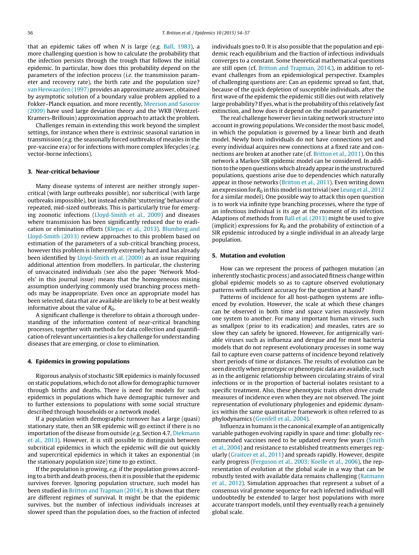that an epidemic takes off when  $N$  is large (e.g. [Ball,](#page-4-0) [1983\),](#page-4-0) a more challenging question is how to calculate the probability that the infection persists through the trough that follows the initial epidemic. In particular, how does this probability depend on the parameters of the infection process (i.e. the transmission parameter and recovery rate), the birth rate and the population size? [van](#page-4-0) [Herwaarden](#page-4-0) [\(1997\)](#page-4-0) provides an approximate answer, obtained by asymptotic solution of a boundary value problem applied to a Fokker–Planck equation, and more recently, [Meerson](#page-4-0) [and](#page-4-0) [Sasorov](#page-4-0) [\(2009\)](#page-4-0) have used large deviation theory and the WKB (Wentzel-Kramers-Brillouin) approximation approach to attack the problem.

Challenges remain in extending this work beyond the simplest settings, for instance when there is extrinsic seasonal variation in transmission (e.g. the seasonally forced outbreaks of measles in the pre-vaccine era) or for infections with more complex lifecycles (e.g. vector-borne infections).

#### **3. Near-critical behaviour**

Many disease systems of interest are neither strongly supercritical (with large outbreaks possible), nor subcritical (with large outbreaks impossible), but instead exhibit 'stuttering' behaviour of repeated, mid-sized outbreaks. This is particularly true for emerging zoonotic infections ([Lloyd-Smith](#page-4-0) et [al.,](#page-4-0) [2009\)](#page-4-0) and diseases where transmission has been significantly reduced due to eradication or elimination efforts [\(Klepac](#page-4-0) et [al.,](#page-4-0) [2013\).](#page-4-0) [Blumberg](#page-4-0) [and](#page-4-0) [Lloyd-Smith](#page-4-0) [\(2013\)](#page-4-0) review approaches to this problem based on estimation of the parameters of a sub-critical branching process, however this problem is inherently extremely hard and has already been identified by [Lloyd-Smith](#page-4-0) et [al.](#page-4-0) [\(2009\)](#page-4-0) as an issue requiring additional attention from modellers. In particular, the clustering of unvaccinated individuals (see also the paper 'Network Models' in this journal issue) means that the homogeneous mixing assumption underlying commonly used branching process methods may be inappropriate. Even once an appropriate model has been selected, data that are available are likely to be at best weakly informative about the value of  $R_0$ .

A significant challenge is therefore to obtain a thorough understanding of the information content of near-critical branching processes, together with methods for data collection and quantification of relevant uncertainties is a key challenge for understanding diseases that are emerging, or close to elimination.

#### **4. Epidemics in growing populations**

Rigorous analysis of stochastic SIR epidemics is mainly focussed on static populations, which do not allow for demographic turnover through births and deaths. There is need for models for such epidemics in populations which have demographic turnover and to further extensions to populations with some social structure described through households or a network model.

If a population with demographic turnover has a large (quasi) stationary state, then an SIR epidemic will go extinct if there is no importation of the disease from outside (e.g. Section 4.7, [Diekmann](#page-4-0) et [al.,](#page-4-0) [2013\).](#page-4-0) However, it is still possible to distinguish between subcritical epidemics in which the epidemic will die out quickly and supercritical epidemics in which it takes an exponential (in the stationary population size) time to go extinct.

If the population is growing, e.g. if the population grows according to a birth and death process, then it is possible that the epidemic survives forever. Ignoring population structure, such model has been studied in [Britton](#page-4-0) [and](#page-4-0) [Trapman](#page-4-0) [\(2014\).](#page-4-0) It is shown that there are different regimes of survival. It might be that the epidemic survives, but the number of infectious individuals increases at slower speed than the population does, so the fraction of infected individuals goes to 0. It is also possible that the population and epidemic reach equilibrium and the fraction of infectious individuals converges to a constant. Some theoretical mathematical questions are still open (cf. [Britton](#page-4-0) [and](#page-4-0) [Trapman,](#page-4-0) [2014.\)](#page-4-0), in addition to relevant challenges from an epidemiological perspective. Examples of challenging questions are: Can an epidemic spread so fast, that, because of the quick depletion of susceptible individuals, after the first wave of the epidemic the epidemic still dies out with relatively large probability? If yes, what is the probability of this relatively fast extinction, and how does it depend on the model parameters?

The real challenge however lies in taking network structure into account in growing populations. We consider the most basic model, in which the population is governed by a linear birth and death model. Newly born individuals do not have connections yet and every individual acquires new connections at a fixed rate and connections are broken at another rate (cf. [Britton](#page-4-0) et [al.,](#page-4-0) [2011\).](#page-4-0) On this network a Markov SIR epidemic model can be considered. In addition to the open questions which already appear in the unstructured populations, questions arise due to dependencies which naturally appear in those networks [\(Britton](#page-4-0) et [al.,](#page-4-0) [2011\).](#page-4-0) Even writing down an expression for  $R_0$  in this model is not trivial (see [Leung](#page-4-0) et [al.,](#page-4-0) [2012](#page-4-0) for a similar model). One possible way to attack this open question is to work via infinite type branching processes, where the type of an infectious individual is its age at the moment of its infection. Adaptions of methods from [Ball](#page-4-0) et [al.](#page-4-0) [\(2013\)](#page-4-0) might be used to give (implicit) expressions for  $R_0$  and the probability of extinction of a SIR epidemic introduced by a single individual in an already large population.

#### **5. Mutation and evolution**

How can we represent the process of pathogen mutation (an inherently stochastic process) and associated fitness change within global epidemic models so as to capture observed evolutionary patterns with sufficient accuracy for the question at hand?

Patterns of incidence for all host-pathogen systems are influenced by evolution. However, the scale at which these changes can be observed in both time and space varies massively from one system to another. For many important human viruses, such as smallpox (prior to its eradication) and measles, rates are so slow they can safely be ignored. However, for antigenically variable viruses such as influenza and dengue and for most bacteria models that do not represent evolutionary processes in some way fail to capture even coarse patterns of incidence beyond relatively short periods of time or distances. The results of evolution can be seen directly when genotypic or phenotypic data are available, such as in the antigenic relationship between circulating strains of viral infections or in the proportion of bacterial isolates resistant to a specific treatment. Also, these phenotypic traits often drive crude measures of incidence even when they are not observed. The joint representation of evolutionary phylogenies and epidemic dynamics within the same quantitative framework is often referred to as phylodynamics ([Grenfell](#page-4-0) et [al.,](#page-4-0) [2004\).](#page-4-0)

Influenza in humans is the canonical example of an antigenically variable pathogen evolving rapidly in space and time: globally recommended vaccines need to be updated every few years [\(Smith](#page-4-0) et [al.,](#page-4-0) [2004\)](#page-4-0) and resistance to established treatments emerges regularly ([Graitcer](#page-4-0) et [al.,](#page-4-0) [2011\)](#page-4-0) and spreads rapidly. However, despite early progress [\(Ferguson](#page-4-0) et [al.,](#page-4-0) [2003;](#page-4-0) [Koelle](#page-4-0) et [al.,](#page-4-0) [2006\),](#page-4-0) the representation of evolution at the global scale in a way that can be robustly tested with available data remains challenging [\(Ratmann](#page-4-0) et [al.,](#page-4-0) [2012\).](#page-4-0) Simulation approaches that represent a subset of a consensus viral genome sequence for each infected individual will undoubtedly be extended to larger host populations with more accurate transport models, until they eventually reach a genuinely global scale.